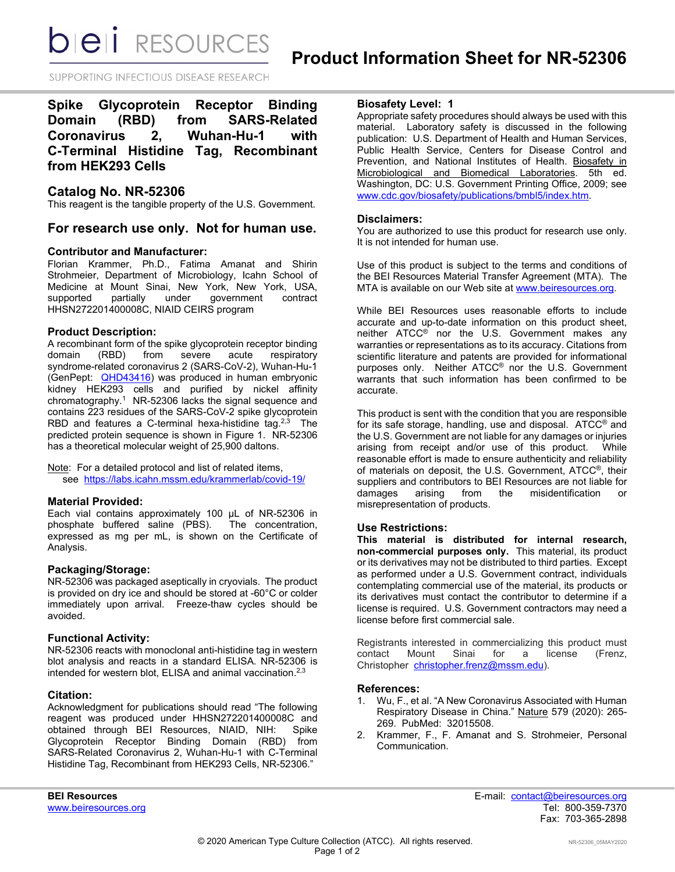*DIEI RESOURCES* 

SUPPORTING INFECTIOUS DISEASE RESEARCH

**Spike Glycoprotein Receptor Binding Domain (RBD) from SARS-Related Coronavirus 2, Wuhan-Hu-1 with C-Terminal Histidine Tag, Recombinant from HEK293 Cells**

# **Catalog No. NR-52306**

This reagent is the tangible property of the U.S. Government.

# **For research use only. Not for human use.**

#### **Contributor and Manufacturer:**

Florian Krammer, Ph.D., Fatima Amanat and Shirin Strohmeier, Department of Microbiology, Icahn School of Medicine at Mount Sinai, New York, New York, USA, supported partially under government contract HHSN272201400008C, NIAID CEIRS program

### **Product Description:**

A recombinant form of the spike glycoprotein receptor binding<br>domain (RBD) from severe acute respiratory domain (RBD) from severe acute respiratory syndrome-related coronavirus 2 (SARS-CoV-2), Wuhan-Hu-1 (GenPept: [QHD43416\)](https://www.ncbi.nlm.nih.gov/protein/QHD43416) was produced in human embryonic kidney HEK293 cells and purified by nickel affinity chromatography. $1$  NR-52306 lacks the signal sequence and contains 223 residues of the SARS-CoV-2 spike glycoprotein RBD and features a C-terminal hexa-histidine tag.<sup>2,3</sup> The predicted protein sequence is shown in Figure 1. NR-52306 has a theoretical molecular weight of 25,900 daltons.

Note: For a detailed protocol and list of related items, see [https://labs.icahn.mssm.edu/krammerlab/covid-19/](https://urldefense.proofpoint.com/v2/url?u=https-3A__labs.icahn.mssm.edu_krammerlab_covid-2D19_&d=DwMGaQ&c=dcFnI-8Ri3NVXdqjME8ydA&r=eA3zTJxwXCmlnZgIbqMroY0lnEHoS938ZSXCfWXjknU&m=7thlCJsuJKRfS35CaryT9_VtJiIy3dY5SkMJM_oXZmg&s=wKvseV8pQG7eHq_VY5BAfNELC023EXKmAGwNxyckM8k&e=)

#### **Material Provided:**

Each vial contains approximately 100 µL of NR-52306 in phosphate buffered saline (PBS). The concentration, expressed as mg per mL, is shown on the Certificate of Analysis.

## **Packaging/Storage:**

NR-52306 was packaged aseptically in cryovials. The product is provided on dry ice and should be stored at -60°C or colder immediately upon arrival. Freeze-thaw cycles should be avoided.

### **Functional Activity:**

NR-52306 reacts with monoclonal anti-histidine tag in western blot analysis and reacts in a standard ELISA. NR-52306 is intended for western blot, ELISA and animal vaccination.<sup>2,3</sup>

#### **Citation:**

Acknowledgment for publications should read "The following reagent was produced under HHSN272201400008C and obtained through BEI Resources, NIAID, NIH: Spike Glycoprotein Receptor Binding Domain (RBD) from SARS-Related Coronavirus 2, Wuhan-Hu-1 with C-Terminal Histidine Tag, Recombinant from HEK293 Cells, NR-52306."

### **Biosafety Level: 1**

Appropriate safety procedures should always be used with this material. Laboratory safety is discussed in the following publication: U.S. Department of Health and Human Services, Public Health Service, Centers for Disease Control and Prevention, and National Institutes of Health. Biosafety in Microbiological and Biomedical Laboratories. 5th ed. Washington, DC: U.S. Government Printing Office, 2009; see [www.cdc.gov/biosafety/publications/bmbl5/index.htm.](http://www.cdc.gov/biosafety/publications/bmbl5/index.htm)

### **Disclaimers:**

You are authorized to use this product for research use only. It is not intended for human use.

Use of this product is subject to the terms and conditions of the BEI Resources Material Transfer Agreement (MTA). The MTA is available on our Web site at [www.beiresources.org.](http://www.beiresources.org/)

While BEI Resources uses reasonable efforts to include accurate and up-to-date information on this product sheet, neither ATCC<sup>®</sup> nor the U.S. Government makes any warranties or representations as to its accuracy. Citations from scientific literature and patents are provided for informational purposes only. Neither ATCC® nor the U.S. Government warrants that such information has been confirmed to be accurate.

This product is sent with the condition that you are responsible for its safe storage, handling, use and disposal. ATCC® and the U.S. Government are not liable for any damages or injuries<br>arising from receipt and/or use of this product. While arising from receipt and/or use of this product. reasonable effort is made to ensure authenticity and reliability of materials on deposit, the U.S. Government, ATCC®, their suppliers and contributors to BEI Resources are not liable for damages arising from the misidentification or misrepresentation of products.

#### **Use Restrictions:**

**This material is distributed for internal research, non-commercial purposes only.** This material, its product or its derivatives may not be distributed to third parties. Except as performed under a U.S. Government contract, individuals contemplating commercial use of the material, its products or its derivatives must contact the contributor to determine if a license is required. U.S. Government contractors may need a license before first commercial sale.

Registrants interested in commercializing this product must<br>contact Mount Sinai for a license (Frenz, contact Mount Sinai for a license (Frenz, Christopher [christopher.frenz@mssm.edu\)](mailto:christopher.frenz@mssm.edu).

#### **References:**

- 1. Wu, F., et al. "A New Coronavirus Associated with Human Respiratory Disease in China." Nature 579 (2020): 265- 269. PubMed: 32015508.
- 2. Krammer, F., F. Amanat and S. Strohmeier, Personal Communication.

**BEI Resources** E-mail: contact@beiresources.org Fax: 703-365-2898